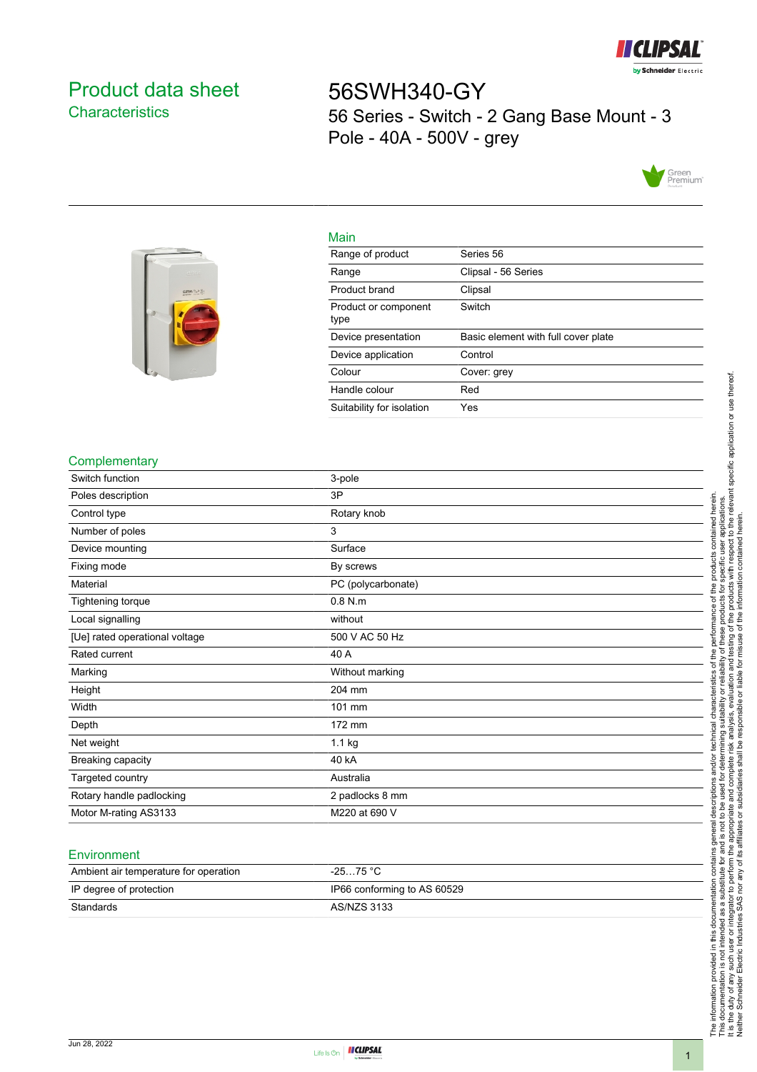

# <span id="page-0-0"></span>Product data sheet **Characteristics**

56SWH340-GY 56 Series - Switch - 2 Gang Base Mount - 3 Pole - 40A - 500V - grey





| maill                        |                                     |
|------------------------------|-------------------------------------|
| Range of product             | Series 56                           |
| Range                        | Clipsal - 56 Series                 |
| Product brand                | Clipsal                             |
| Product or component<br>type | Switch                              |
| Device presentation          | Basic element with full cover plate |
|                              |                                     |
| Device application           | Control                             |
| Colour                       | Cover: grev                         |
| Handle colour                | Red                                 |

### **Complementary**

| Switch function                | 3-pole             |
|--------------------------------|--------------------|
| Poles description              | 3P                 |
| Control type                   | Rotary knob        |
| Number of poles                | 3                  |
| Device mounting                | Surface            |
| Fixing mode                    | By screws          |
| Material                       | PC (polycarbonate) |
| Tightening torque              | $0.8$ N.m          |
| Local signalling               | without            |
| [Ue] rated operational voltage | 500 V AC 50 Hz     |
| Rated current                  | 40 A               |
| Marking                        | Without marking    |
| Height                         | 204 mm             |
| Width                          | 101 mm             |
| Depth                          | 172 mm             |
| Net weight                     | 1.1 kg             |
| Breaking capacity              | 40 kA              |
| Targeted country               | Australia          |
| Rotary handle padlocking       | 2 padlocks 8 mm    |
| Motor M-rating AS3133          | M220 at 690 V      |

Main

#### **Environment**

| Ambient air temperature for operation | $-2575 °C$                  |
|---------------------------------------|-----------------------------|
| IP degree of protection               | IP66 conforming to AS 60529 |
| Standards                             | AS/NZS 3133                 |